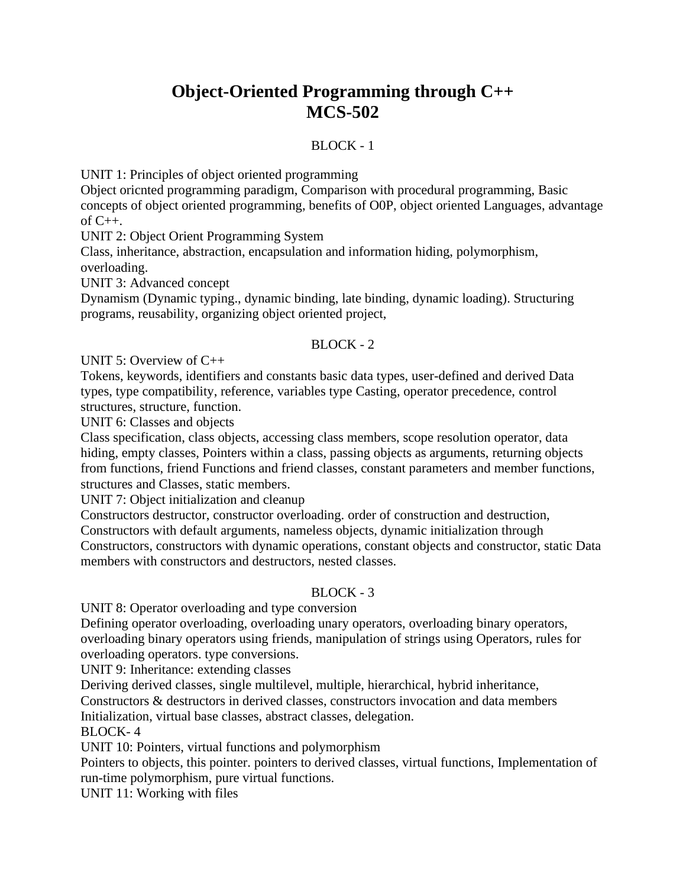## **Object-Oriented Programming through C++ MCS-502**

## BLOCK - 1

UNIT 1: Principles of object oriented programming

Object oricnted programming paradigm, Comparison with procedural programming, Basic concepts of object oriented programming, benefits of O0P, object oriented Languages, advantage of C++.

UNIT 2: Object Orient Programming System

Class, inheritance, abstraction, encapsulation and information hiding, polymorphism, overloading.

UNIT 3: Advanced concept

Dynamism (Dynamic typing., dynamic binding, late binding, dynamic loading). Structuring programs, reusability, organizing object oriented project,

## $BLOCK - 2$

UNIT 5: Overview of C++

Tokens, keywords, identifiers and constants basic data types, user-defined and derived Data types, type compatibility, reference, variables type Casting, operator precedence, control structures, structure, function.

UNIT 6: Classes and objects

Class specification, class objects, accessing class members, scope resolution operator, data hiding, empty classes, Pointers within a class, passing objects as arguments, returning objects from functions, friend Functions and friend classes, constant parameters and member functions, structures and Classes, static members.

UNIT 7: Object initialization and cleanup

Constructors destructor, constructor overloading. order of construction and destruction, Constructors with default arguments, nameless objects, dynamic initialization through Constructors, constructors with dynamic operations, constant objects and constructor, static Data members with constructors and destructors, nested classes.

## BLOCK - 3

UNIT 8: Operator overloading and type conversion

Defining operator overloading, overloading unary operators, overloading binary operators, overloading binary operators using friends, manipulation of strings using Operators, rules for overloading operators. type conversions.

UNIT 9: Inheritance: extending classes

Deriving derived classes, single multilevel, multiple, hierarchical, hybrid inheritance,

Constructors & destructors in derived classes, constructors invocation and data members Initialization, virtual base classes, abstract classes, delegation.

BLOCK- 4

UNIT 10: Pointers, virtual functions and polymorphism

Pointers to objects, this pointer. pointers to derived classes, virtual functions, Implementation of run-time polymorphism, pure virtual functions.

UNIT 11: Working with files